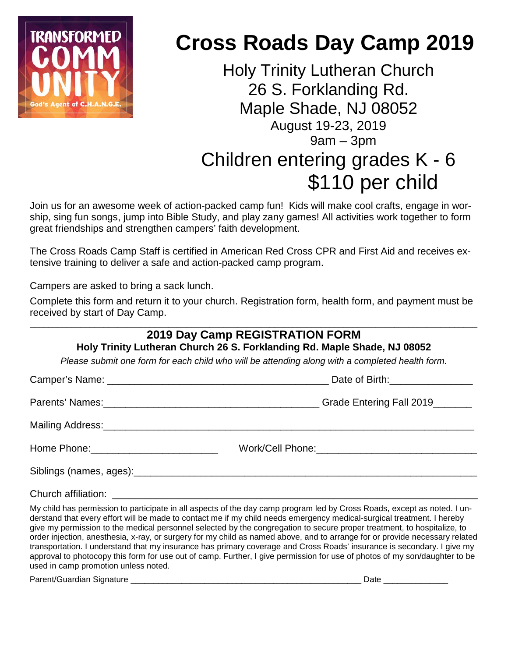

# **Cross Roads Day Camp 2019**

Holy Trinity Lutheran Church 26 S. Forklanding Rd. Maple Shade, NJ 08052 August 19-23, 2019  $9am - 3pm$ Children entering grades K - 6 \$110 per child

Join us for an awesome week of action-packed camp fun! Kids will make cool crafts, engage in worship, sing fun songs, jump into Bible Study, and play zany games! All activities work together to form great friendships and strengthen campers' faith development.

The Cross Roads Camp Staff is certified in American Red Cross CPR and First Aid and receives extensive training to deliver a safe and action-packed camp program.

Campers are asked to bring a sack lunch.

Complete this form and return it to your church. Registration form, health form, and payment must be received by start of Day Camp.

#### \_\_\_\_\_\_\_\_\_\_\_\_\_\_\_\_\_\_\_\_\_\_\_\_\_\_\_\_\_\_\_\_\_\_\_\_\_\_\_\_\_\_\_\_\_\_\_\_\_\_\_\_\_\_\_\_\_\_\_\_\_\_\_\_\_\_\_\_\_\_\_\_\_\_\_\_\_\_\_\_\_\_\_\_\_\_\_\_\_\_\_\_\_\_\_\_\_ **2019 Day Camp REGISTRATION FORM Holy Trinity Lutheran Church 26 S. Forklanding Rd. Maple Shade, NJ 08052**

*Please submit one form for each child who will be attending along with a completed health form.*

| Date of Birth: ___________________        |                                 |  |  |  |
|-------------------------------------------|---------------------------------|--|--|--|
|                                           | Grade Entering Fall 2019_______ |  |  |  |
|                                           |                                 |  |  |  |
| Home Phone: _____________________________ |                                 |  |  |  |
|                                           |                                 |  |  |  |
| Church affiliation:                       |                                 |  |  |  |

My child has permission to participate in all aspects of the day camp program led by Cross Roads, except as noted. I understand that every effort will be made to contact me if my child needs emergency medical-surgical treatment. I hereby give my permission to the medical personnel selected by the congregation to secure proper treatment, to hospitalize, to order injection, anesthesia, x-ray, or surgery for my child as named above, and to arrange for or provide necessary related transportation. I understand that my insurance has primary coverage and Cross Roads' insurance is secondary. I give my approval to photocopy this form for use out of camp. Further, I give permission for use of photos of my son/daughter to be used in camp promotion unless noted.

Parent/Guardian Signature \_\_\_\_\_\_\_\_\_\_\_\_\_\_\_\_\_\_\_\_\_\_\_\_\_\_\_\_\_\_\_\_\_\_\_\_\_\_\_\_\_\_\_\_\_\_\_\_\_\_ Date \_\_\_\_\_\_\_\_\_\_\_\_\_\_